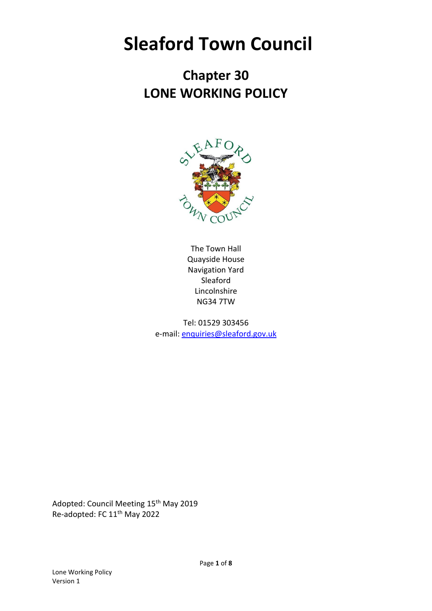# **Sleaford Town Council**

# **Chapter 30 LONE WORKING POLICY**



The Town Hall Quayside House Navigation Yard Sleaford Lincolnshire NG34 7TW

Tel: 01529 303456 e-mail: [enquiries@sleaford.gov.uk](mailto:enquiries@sleaford.gov.uk)

Adopted: Council Meeting 15<sup>th</sup> May 2019 Re-adopted: FC 11th May 2022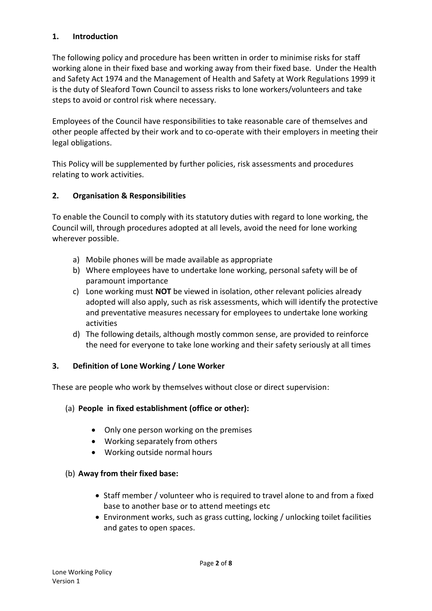# **1. Introduction**

The following policy and procedure has been written in order to minimise risks for staff working alone in their fixed base and working away from their fixed base. Under the Health and Safety Act 1974 and the Management of Health and Safety at Work Regulations 1999 it is the duty of Sleaford Town Council to assess risks to lone workers/volunteers and take steps to avoid or control risk where necessary.

Employees of the Council have responsibilities to take reasonable care of themselves and other people affected by their work and to co-operate with their employers in meeting their legal obligations.

This Policy will be supplemented by further policies, risk assessments and procedures relating to work activities.

# **2. Organisation & Responsibilities**

To enable the Council to comply with its statutory duties with regard to lone working, the Council will, through procedures adopted at all levels, avoid the need for lone working wherever possible.

- a) Mobile phones will be made available as appropriate
- b) Where employees have to undertake lone working, personal safety will be of paramount importance
- c) Lone working must **NOT** be viewed in isolation, other relevant policies already adopted will also apply, such as risk assessments, which will identify the protective and preventative measures necessary for employees to undertake lone working activities
- d) The following details, although mostly common sense, are provided to reinforce the need for everyone to take lone working and their safety seriously at all times

#### **3. Definition of Lone Working / Lone Worker**

These are people who work by themselves without close or direct supervision:

#### (a) **People in fixed establishment (office or other):**

- Only one person working on the premises
- Working separately from others
- Working outside normal hours

#### (b) **Away from their fixed base:**

- Staff member / volunteer who is required to travel alone to and from a fixed base to another base or to attend meetings etc
- Environment works, such as grass cutting, locking / unlocking toilet facilities and gates to open spaces.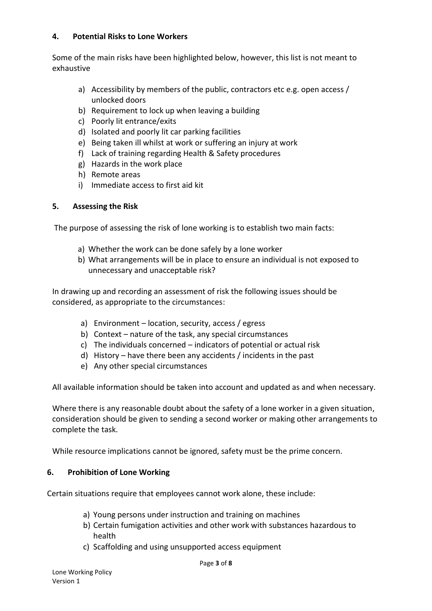#### **4. Potential Risks to Lone Workers**

Some of the main risks have been highlighted below, however, this list is not meant to exhaustive

- a) Accessibility by members of the public, contractors etc e.g. open access / unlocked doors
- b) Requirement to lock up when leaving a building
- c) Poorly lit entrance/exits
- d) Isolated and poorly lit car parking facilities
- e) Being taken ill whilst at work or suffering an injury at work
- f) Lack of training regarding Health & Safety procedures
- g) Hazards in the work place
- h) Remote areas
- i) Immediate access to first aid kit

#### **5. Assessing the Risk**

The purpose of assessing the risk of lone working is to establish two main facts:

- a) Whether the work can be done safely by a lone worker
- b) What arrangements will be in place to ensure an individual is not exposed to unnecessary and unacceptable risk?

In drawing up and recording an assessment of risk the following issues should be considered, as appropriate to the circumstances:

- a) Environment location, security, access / egress
- b) Context nature of the task, any special circumstances
- c) The individuals concerned indicators of potential or actual risk
- d) History have there been any accidents / incidents in the past
- e) Any other special circumstances

All available information should be taken into account and updated as and when necessary.

Where there is any reasonable doubt about the safety of a lone worker in a given situation, consideration should be given to sending a second worker or making other arrangements to complete the task.

While resource implications cannot be ignored, safety must be the prime concern.

#### **6. Prohibition of Lone Working**

Certain situations require that employees cannot work alone, these include:

- a) Young persons under instruction and training on machines
- b) Certain fumigation activities and other work with substances hazardous to health
- c) Scaffolding and using unsupported access equipment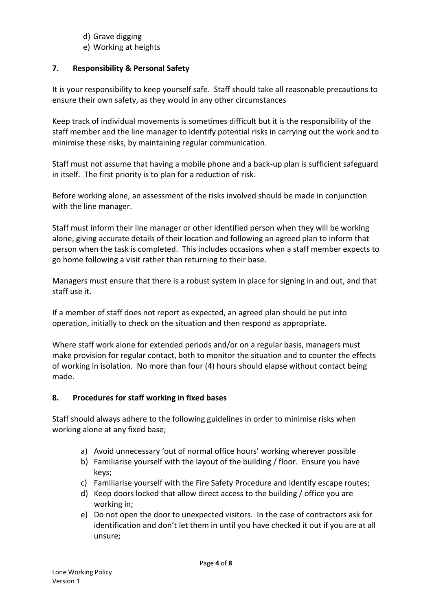- d) Grave digging
- e) Working at heights

# **7. Responsibility & Personal Safety**

It is your responsibility to keep yourself safe. Staff should take all reasonable precautions to ensure their own safety, as they would in any other circumstances

Keep track of individual movements is sometimes difficult but it is the responsibility of the staff member and the line manager to identify potential risks in carrying out the work and to minimise these risks, by maintaining regular communication.

Staff must not assume that having a mobile phone and a back-up plan is sufficient safeguard in itself. The first priority is to plan for a reduction of risk.

Before working alone, an assessment of the risks involved should be made in conjunction with the line manager.

Staff must inform their line manager or other identified person when they will be working alone, giving accurate details of their location and following an agreed plan to inform that person when the task is completed. This includes occasions when a staff member expects to go home following a visit rather than returning to their base.

Managers must ensure that there is a robust system in place for signing in and out, and that staff use it.

If a member of staff does not report as expected, an agreed plan should be put into operation, initially to check on the situation and then respond as appropriate.

Where staff work alone for extended periods and/or on a regular basis, managers must make provision for regular contact, both to monitor the situation and to counter the effects of working in isolation. No more than four (4) hours should elapse without contact being made.

# **8. Procedures for staff working in fixed bases**

Staff should always adhere to the following guidelines in order to minimise risks when working alone at any fixed base;

- a) Avoid unnecessary 'out of normal office hours' working wherever possible
- b) Familiarise yourself with the layout of the building / floor. Ensure you have keys;
- c) Familiarise yourself with the Fire Safety Procedure and identify escape routes;
- d) Keep doors locked that allow direct access to the building / office you are working in;
- e) Do not open the door to unexpected visitors. In the case of contractors ask for identification and don't let them in until you have checked it out if you are at all unsure;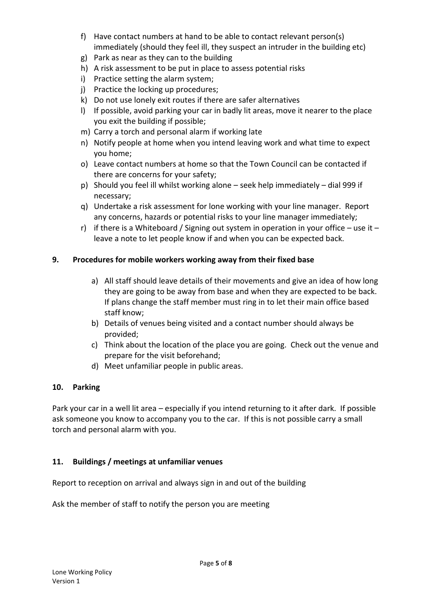- f) Have contact numbers at hand to be able to contact relevant person(s) immediately (should they feel ill, they suspect an intruder in the building etc)
- g) Park as near as they can to the building
- h) A risk assessment to be put in place to assess potential risks
- i) Practice setting the alarm system;
- j) Practice the locking up procedures;
- k) Do not use lonely exit routes if there are safer alternatives
- l) If possible, avoid parking your car in badly lit areas, move it nearer to the place you exit the building if possible;
- m) Carry a torch and personal alarm if working late
- n) Notify people at home when you intend leaving work and what time to expect you home;
- o) Leave contact numbers at home so that the Town Council can be contacted if there are concerns for your safety;
- p) Should you feel ill whilst working alone seek help immediately dial 999 if necessary;
- q) Undertake a risk assessment for lone working with your line manager. Report any concerns, hazards or potential risks to your line manager immediately;
- r) if there is a Whiteboard / Signing out system in operation in your office use it leave a note to let people know if and when you can be expected back.

# **9. Procedures for mobile workers working away from their fixed base**

- a) All staff should leave details of their movements and give an idea of how long they are going to be away from base and when they are expected to be back. If plans change the staff member must ring in to let their main office based staff know;
- b) Details of venues being visited and a contact number should always be provided;
- c) Think about the location of the place you are going. Check out the venue and prepare for the visit beforehand;
- d) Meet unfamiliar people in public areas.

# **10. Parking**

Park your car in a well lit area – especially if you intend returning to it after dark. If possible ask someone you know to accompany you to the car. If this is not possible carry a small torch and personal alarm with you.

# **11. Buildings / meetings at unfamiliar venues**

Report to reception on arrival and always sign in and out of the building

Ask the member of staff to notify the person you are meeting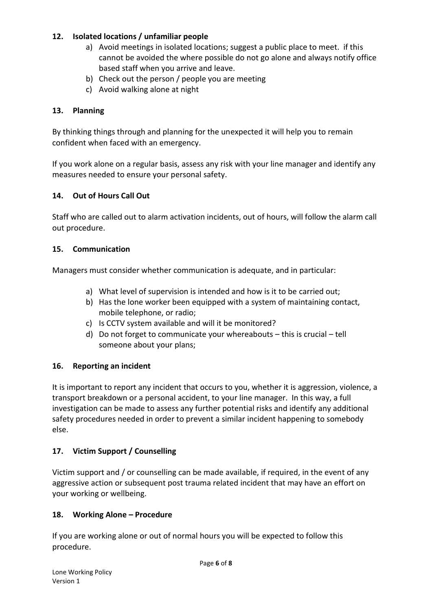# **12. Isolated locations / unfamiliar people**

- a) Avoid meetings in isolated locations; suggest a public place to meet. if this cannot be avoided the where possible do not go alone and always notify office based staff when you arrive and leave.
- b) Check out the person / people you are meeting
- c) Avoid walking alone at night

# **13. Planning**

By thinking things through and planning for the unexpected it will help you to remain confident when faced with an emergency.

If you work alone on a regular basis, assess any risk with your line manager and identify any measures needed to ensure your personal safety.

# **14. Out of Hours Call Out**

Staff who are called out to alarm activation incidents, out of hours, will follow the alarm call out procedure.

#### **15. Communication**

Managers must consider whether communication is adequate, and in particular:

- a) What level of supervision is intended and how is it to be carried out;
- b) Has the lone worker been equipped with a system of maintaining contact, mobile telephone, or radio;
- c) Is CCTV system available and will it be monitored?
- d) Do not forget to communicate your whereabouts this is crucial tell someone about your plans;

#### **16. Reporting an incident**

It is important to report any incident that occurs to you, whether it is aggression, violence, a transport breakdown or a personal accident, to your line manager. In this way, a full investigation can be made to assess any further potential risks and identify any additional safety procedures needed in order to prevent a similar incident happening to somebody else.

#### **17. Victim Support / Counselling**

Victim support and / or counselling can be made available, if required, in the event of any aggressive action or subsequent post trauma related incident that may have an effort on your working or wellbeing.

#### **18. Working Alone – Procedure**

If you are working alone or out of normal hours you will be expected to follow this procedure.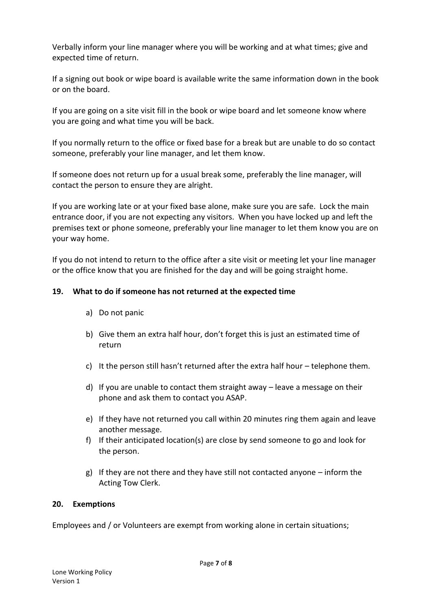Verbally inform your line manager where you will be working and at what times; give and expected time of return.

If a signing out book or wipe board is available write the same information down in the book or on the board.

If you are going on a site visit fill in the book or wipe board and let someone know where you are going and what time you will be back.

If you normally return to the office or fixed base for a break but are unable to do so contact someone, preferably your line manager, and let them know.

If someone does not return up for a usual break some, preferably the line manager, will contact the person to ensure they are alright.

If you are working late or at your fixed base alone, make sure you are safe. Lock the main entrance door, if you are not expecting any visitors. When you have locked up and left the premises text or phone someone, preferably your line manager to let them know you are on your way home.

If you do not intend to return to the office after a site visit or meeting let your line manager or the office know that you are finished for the day and will be going straight home.

# **19. What to do if someone has not returned at the expected time**

- a) Do not panic
- b) Give them an extra half hour, don't forget this is just an estimated time of return
- c) It the person still hasn't returned after the extra half hour telephone them.
- d) If you are unable to contact them straight away leave a message on their phone and ask them to contact you ASAP.
- e) If they have not returned you call within 20 minutes ring them again and leave another message.
- f) If their anticipated location(s) are close by send someone to go and look for the person.
- g) If they are not there and they have still not contacted anyone inform the Acting Tow Clerk.

#### **20. Exemptions**

Employees and / or Volunteers are exempt from working alone in certain situations;